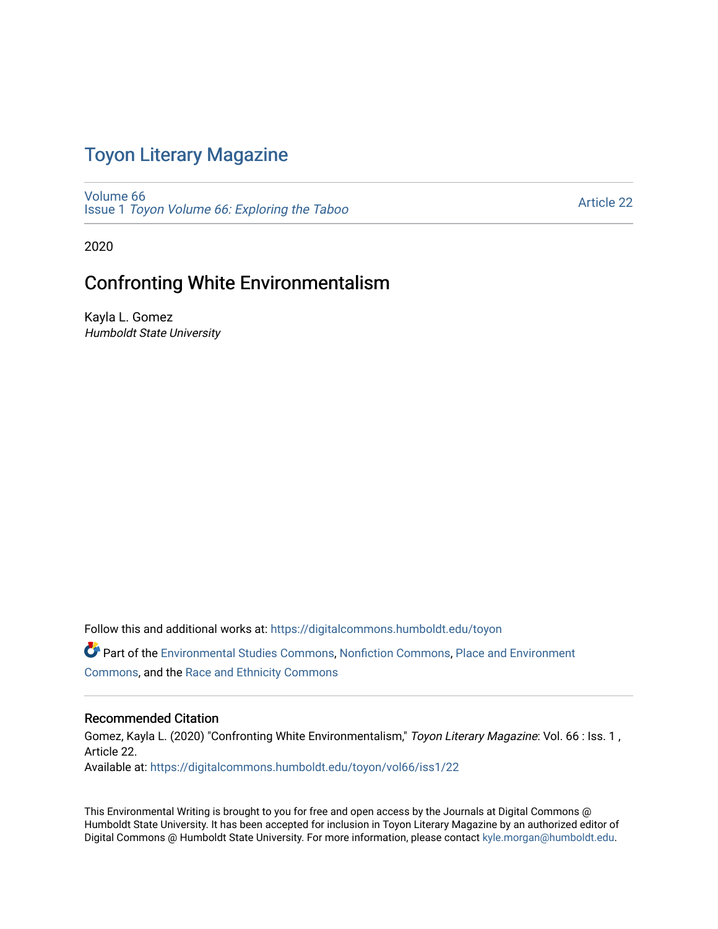# Toyon Literary Magazine

[Volume 66](https://digitalcommons.humboldt.edu/toyon/vol66) Issue 1 [Toyon Volume 66: Exploring the Taboo](https://digitalcommons.humboldt.edu/toyon/vol66/iss1) 

[Article 22](https://digitalcommons.humboldt.edu/toyon/vol66/iss1/22) 

2020

### Confronting White Environmentalism

Kayla L. Gomez Humboldt State University

Follow this and additional works at: [https://digitalcommons.humboldt.edu/toyon](https://digitalcommons.humboldt.edu/toyon?utm_source=digitalcommons.humboldt.edu%2Ftoyon%2Fvol66%2Fiss1%2F22&utm_medium=PDF&utm_campaign=PDFCoverPages) Part of the [Environmental Studies Commons](http://network.bepress.com/hgg/discipline/1333?utm_source=digitalcommons.humboldt.edu%2Ftoyon%2Fvol66%2Fiss1%2F22&utm_medium=PDF&utm_campaign=PDFCoverPages), [Nonfiction Commons](http://network.bepress.com/hgg/discipline/1152?utm_source=digitalcommons.humboldt.edu%2Ftoyon%2Fvol66%2Fiss1%2F22&utm_medium=PDF&utm_campaign=PDFCoverPages), [Place and Environment](http://network.bepress.com/hgg/discipline/424?utm_source=digitalcommons.humboldt.edu%2Ftoyon%2Fvol66%2Fiss1%2F22&utm_medium=PDF&utm_campaign=PDFCoverPages)  [Commons](http://network.bepress.com/hgg/discipline/424?utm_source=digitalcommons.humboldt.edu%2Ftoyon%2Fvol66%2Fiss1%2F22&utm_medium=PDF&utm_campaign=PDFCoverPages), and the [Race and Ethnicity Commons](http://network.bepress.com/hgg/discipline/426?utm_source=digitalcommons.humboldt.edu%2Ftoyon%2Fvol66%2Fiss1%2F22&utm_medium=PDF&utm_campaign=PDFCoverPages) 

### Recommended Citation

Gomez, Kayla L. (2020) "Confronting White Environmentalism," Toyon Literary Magazine: Vol. 66 : Iss. 1, Article 22. Available at: [https://digitalcommons.humboldt.edu/toyon/vol66/iss1/22](https://digitalcommons.humboldt.edu/toyon/vol66/iss1/22?utm_source=digitalcommons.humboldt.edu%2Ftoyon%2Fvol66%2Fiss1%2F22&utm_medium=PDF&utm_campaign=PDFCoverPages) 

This Environmental Writing is brought to you for free and open access by the Journals at Digital Commons @ Humboldt State University. It has been accepted for inclusion in Toyon Literary Magazine by an authorized editor of Digital Commons @ Humboldt State University. For more information, please contact [kyle.morgan@humboldt.edu](mailto:kyle.morgan@humboldt.edu).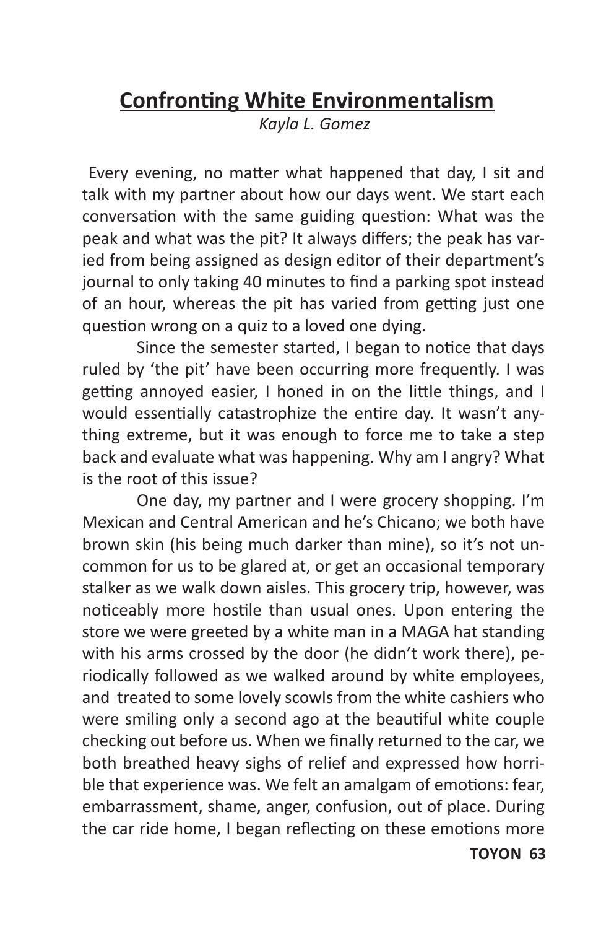# **Confronting White Environmentalism**

*Kayla L. Gomez*

Every evening, no matter what happened that day, I sit and talk with my partner about how our days went. We start each conversation with the same guiding question: What was the peak and what was the pit? It always differs; the peak has varied from being assigned as design editor of their department's journal to only taking 40 minutes to find a parking spot instead of an hour, whereas the pit has varied from getting just one question wrong on a quiz to a loved one dying.

Since the semester started, I began to notice that days ruled by 'the pit' have been occurring more frequently. I was getting annoyed easier, I honed in on the little things, and I would essentially catastrophize the entire day. It wasn't anything extreme, but it was enough to force me to take a step back and evaluate what was happening. Why am I angry? What is the root of this issue?

One day, my partner and I were grocery shopping. I'm Mexican and Central American and he's Chicano; we both have brown skin (his being much darker than mine), so it's not uncommon for us to be glared at, or get an occasional temporary stalker as we walk down aisles. This grocery trip, however, was noticeably more hostile than usual ones. Upon entering the store we were greeted by a white man in a MAGA hat standing with his arms crossed by the door (he didn't work there), periodically followed as we walked around by white employees, and treated to some lovely scowls from the white cashiers who were smiling only a second ago at the beautiful white couple checking out before us. When we finally returned to the car, we both breathed heavy sighs of relief and expressed how horrible that experience was. We felt an amalgam of emotions: fear, embarrassment, shame, anger, confusion, out of place. During the car ride home, I began reflecting on these emotions more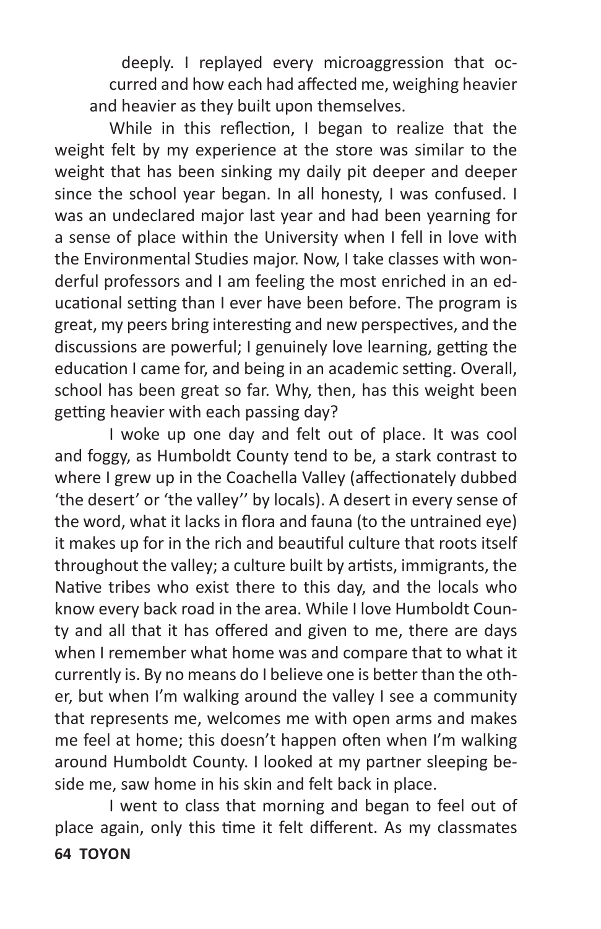deeply. I replayed every microaggression that occurred and how each had affected me, weighing heavier and heavier as they built upon themselves.

While in this reflection, I began to realize that the weight felt by my experience at the store was similar to the weight that has been sinking my daily pit deeper and deeper since the school year began. In all honesty, I was confused. I was an undeclared major last year and had been yearning for a sense of place within the University when I fell in love with the Environmental Studies major. Now, I take classes with wonderful professors and I am feeling the most enriched in an educational setting than I ever have been before. The program is great, my peers bring interesting and new perspectives, and the discussions are powerful; I genuinely love learning, getting the education I came for, and being in an academic setting. Overall, school has been great so far. Why, then, has this weight been getting heavier with each passing day?

I woke up one day and felt out of place. It was cool and foggy, as Humboldt County tend to be, a stark contrast to where I grew up in the Coachella Valley (affectionately dubbed 'the desert' or 'the valley'' by locals). A desert in every sense of the word, what it lacks in flora and fauna (to the untrained eye) it makes up for in the rich and beautiful culture that roots itself throughout the valley; a culture built by artists, immigrants, the Native tribes who exist there to this day, and the locals who know every back road in the area. While I love Humboldt County and all that it has offered and given to me, there are days when I remember what home was and compare that to what it currently is. By no means do I believe one is better than the other, but when I'm walking around the valley I see a community that represents me, welcomes me with open arms and makes me feel at home; this doesn't happen often when I'm walking around Humboldt County. I looked at my partner sleeping beside me, saw home in his skin and felt back in place.

**64 TOYON**  I went to class that morning and began to feel out of place again, only this time it felt different. As my classmates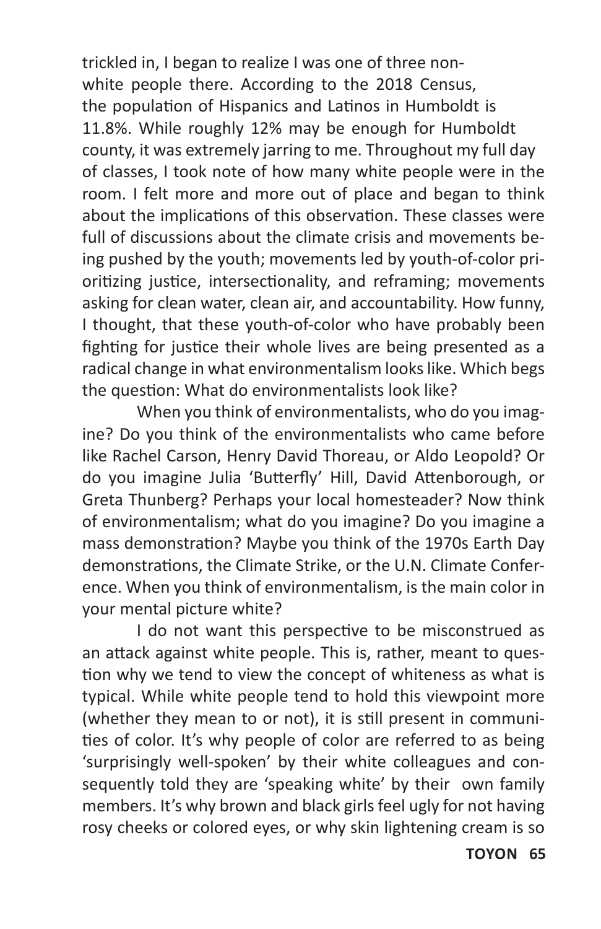trickled in, I began to realize I was one of three nonwhite people there. According to the 2018 Census, the population of Hispanics and Latinos in Humboldt is 11.8%. While roughly 12% may be enough for Humboldt county, it was extremely jarring to me. Throughout my full day of classes, I took note of how many white people were in the room. I felt more and more out of place and began to think about the implications of this observation. These classes were full of discussions about the climate crisis and movements being pushed by the youth; movements led by youth-of-color prioritizing justice, intersectionality, and reframing; movements asking for clean water, clean air, and accountability. How funny, I thought, that these youth-of-color who have probably been fighting for justice their whole lives are being presented as a radical change in what environmentalism looks like. Which begs the question: What do environmentalists look like?

When you think of environmentalists, who do you imagine? Do you think of the environmentalists who came before like Rachel Carson, Henry David Thoreau, or Aldo Leopold? Or do you imagine Julia 'Butterfly' Hill, David Attenborough, or Greta Thunberg? Perhaps your local homesteader? Now think of environmentalism; what do you imagine? Do you imagine a mass demonstration? Maybe you think of the 1970s Earth Day demonstrations, the Climate Strike, or the U.N. Climate Conference. When you think of environmentalism, is the main color in your mental picture white?

I do not want this perspective to be misconstrued as an attack against white people. This is, rather, meant to question why we tend to view the concept of whiteness as what is typical. While white people tend to hold this viewpoint more (whether they mean to or not), it is still present in communities of color. It's why people of color are referred to as being 'surprisingly well-spoken' by their white colleagues and consequently told they are 'speaking white' by their own family members. It's why brown and black girls feel ugly for not having rosy cheeks or colored eyes, or why skin lightening cream is so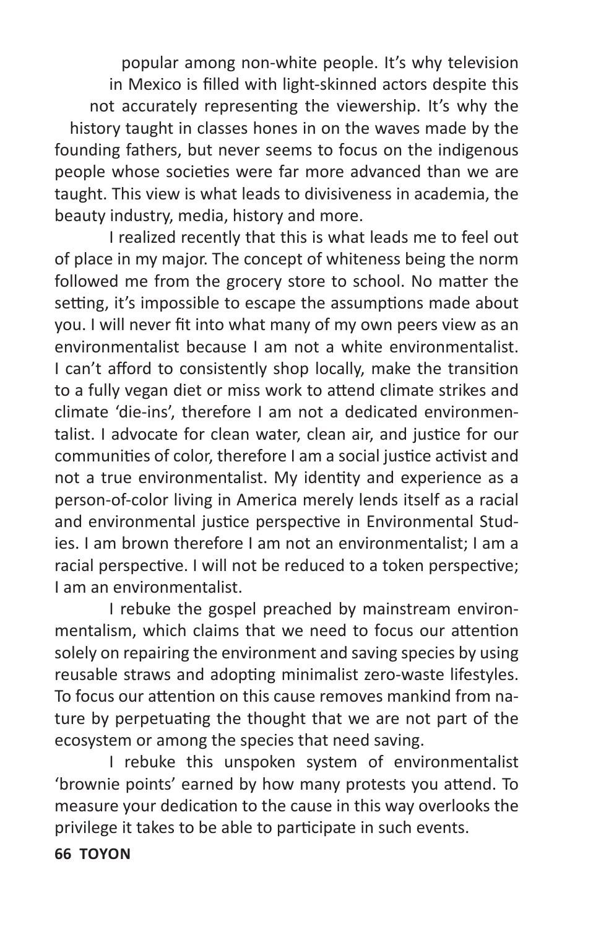popular among non-white people. It's why television in Mexico is filled with light-skinned actors despite this not accurately representing the viewership. It's why the history taught in classes hones in on the waves made by the founding fathers, but never seems to focus on the indigenous people whose societies were far more advanced than we are taught. This view is what leads to divisiveness in academia, the beauty industry, media, history and more.

I realized recently that this is what leads me to feel out of place in my major. The concept of whiteness being the norm followed me from the grocery store to school. No matter the setting, it's impossible to escape the assumptions made about you. I will never fit into what many of my own peers view as an environmentalist because I am not a white environmentalist. I can't afford to consistently shop locally, make the transition to a fully vegan diet or miss work to attend climate strikes and climate 'die-ins', therefore I am not a dedicated environmentalist. I advocate for clean water, clean air, and justice for our communities of color, therefore I am a social justice activist and not a true environmentalist. My identity and experience as a person-of-color living in America merely lends itself as a racial and environmental justice perspective in Environmental Studies. I am brown therefore I am not an environmentalist; I am a racial perspective. I will not be reduced to a token perspective; I am an environmentalist.

I rebuke the gospel preached by mainstream environmentalism, which claims that we need to focus our attention solely on repairing the environment and saving species by using reusable straws and adopting minimalist zero-waste lifestyles. To focus our attention on this cause removes mankind from nature by perpetuating the thought that we are not part of the ecosystem or among the species that need saving.

I rebuke this unspoken system of environmentalist 'brownie points' earned by how many protests you attend. To measure your dedication to the cause in this way overlooks the privilege it takes to be able to participate in such events.

#### **66 TOYON**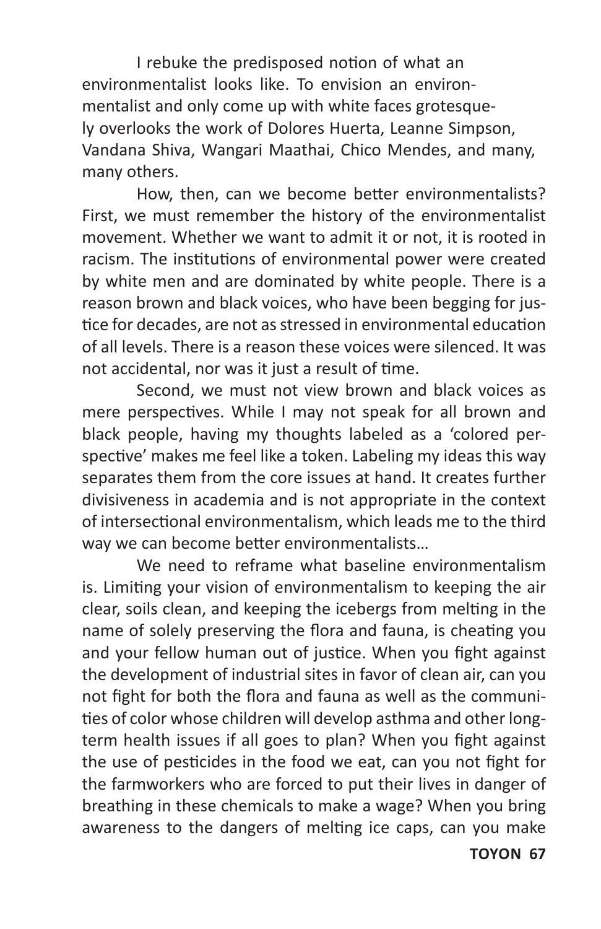I rebuke the predisposed notion of what an environmentalist looks like. To envision an environmentalist and only come up with white faces grotesquely overlooks the work of Dolores Huerta, Leanne Simpson, Vandana Shiva, Wangari Maathai, Chico Mendes, and many, many others.

How, then, can we become better environmentalists? First, we must remember the history of the environmentalist movement. Whether we want to admit it or not, it is rooted in racism. The institutions of environmental power were created by white men and are dominated by white people. There is a reason brown and black voices, who have been begging for justice for decades, are not as stressed in environmental education of all levels. There is a reason these voices were silenced. It was not accidental, nor was it just a result of time.

Second, we must not view brown and black voices as mere perspectives. While I may not speak for all brown and black people, having my thoughts labeled as a 'colored perspective' makes me feel like a token. Labeling my ideas this way separates them from the core issues at hand. It creates further divisiveness in academia and is not appropriate in the context of intersectional environmentalism, which leads me to the third way we can become better environmentalists…

We need to reframe what baseline environmentalism is. Limiting your vision of environmentalism to keeping the air clear, soils clean, and keeping the icebergs from melting in the name of solely preserving the flora and fauna, is cheating you and your fellow human out of justice. When you fight against the development of industrial sites in favor of clean air, can you not fight for both the flora and fauna as well as the communities of color whose children will develop asthma and other longterm health issues if all goes to plan? When you fight against the use of pesticides in the food we eat, can you not fight for the farmworkers who are forced to put their lives in danger of breathing in these chemicals to make a wage? When you bring awareness to the dangers of melting ice caps, can you make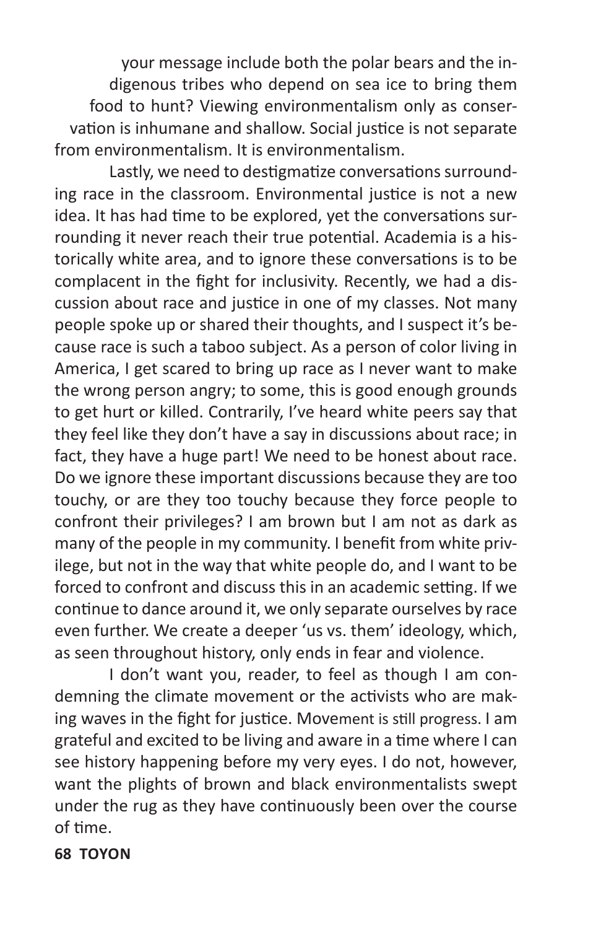your message include both the polar bears and the indigenous tribes who depend on sea ice to bring them food to hunt? Viewing environmentalism only as conservation is inhumane and shallow. Social justice is not separate from environmentalism. It is environmentalism.

Lastly, we need to destigmatize conversations surrounding race in the classroom. Environmental justice is not a new idea. It has had time to be explored, yet the conversations surrounding it never reach their true potential. Academia is a historically white area, and to ignore these conversations is to be complacent in the fight for inclusivity. Recently, we had a discussion about race and justice in one of my classes. Not many people spoke up or shared their thoughts, and I suspect it's because race is such a taboo subject. As a person of color living in America, I get scared to bring up race as I never want to make the wrong person angry; to some, this is good enough grounds to get hurt or killed. Contrarily, I've heard white peers say that they feel like they don't have a say in discussions about race; in fact, they have a huge part! We need to be honest about race. Do we ignore these important discussions because they are too touchy, or are they too touchy because they force people to confront their privileges? I am brown but I am not as dark as many of the people in my community. I benefit from white privilege, but not in the way that white people do, and I want to be forced to confront and discuss this in an academic setting. If we continue to dance around it, we only separate ourselves by race even further. We create a deeper 'us vs. them' ideology, which, as seen throughout history, only ends in fear and violence.

I don't want you, reader, to feel as though I am condemning the climate movement or the activists who are making waves in the fight for justice. Movement is still progress. I am grateful and excited to be living and aware in a time where I can see history happening before my very eyes. I do not, however, want the plights of brown and black environmentalists swept under the rug as they have continuously been over the course of time.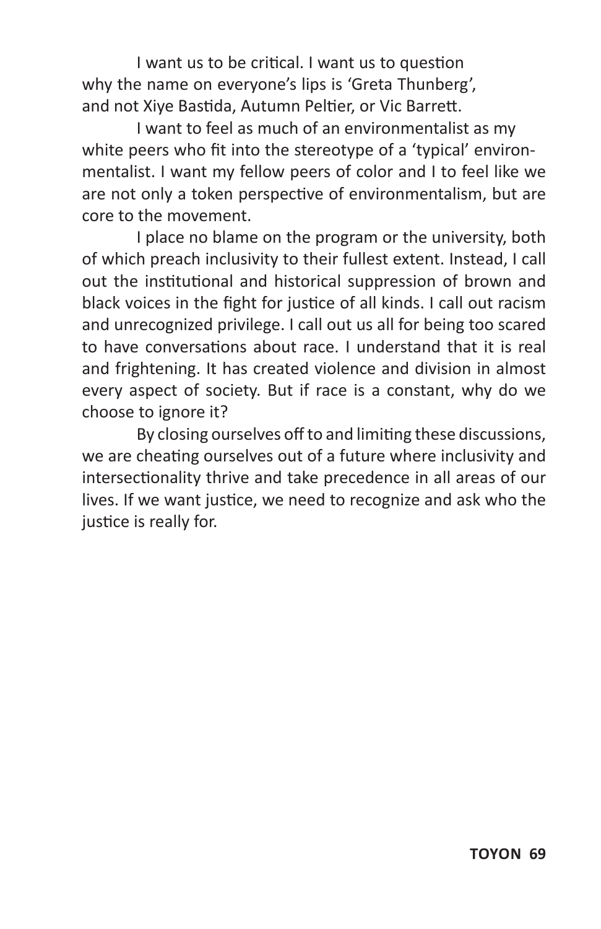I want us to be critical. I want us to question why the name on everyone's lips is 'Greta Thunberg', and not Xiye Bastida, Autumn Peltier, or Vic Barrett.

I want to feel as much of an environmentalist as my white peers who fit into the stereotype of a 'typical' environmentalist. I want my fellow peers of color and I to feel like we are not only a token perspective of environmentalism, but are core to the movement.

I place no blame on the program or the university, both of which preach inclusivity to their fullest extent. Instead, I call out the institutional and historical suppression of brown and black voices in the fight for justice of all kinds. I call out racism and unrecognized privilege. I call out us all for being too scared to have conversations about race. I understand that it is real and frightening. It has created violence and division in almost every aspect of society. But if race is a constant, why do we choose to ignore it?

By closing ourselves off to and limiting these discussions, we are cheating ourselves out of a future where inclusivity and intersectionality thrive and take precedence in all areas of our lives. If we want justice, we need to recognize and ask who the justice is really for.